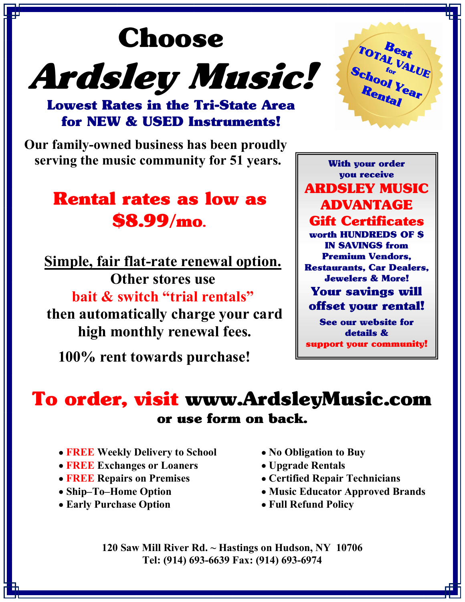# Choose Ardsley Music!



Lowest Rates in the Tri-State Area for NEW & USED Instruments!

 Our family-owned business has been proudly serving the music community for 51 years.

# Rental rates as low as \$8.99/mo.

Simple, fair flat-rate renewal option. Other stores use bait & switch "trial rentals" then automatically charge your card high monthly renewal fees.

100% rent towards purchase!

With your order you receive ARDSLEY MUSIC ADVANTAGE Gift Certificates worth HUNDREDS OF \$ IN SAVINGS from Premium Vendors, Restaurants, Car Dealers, Jewelers & More! Your savings will offset your rental! See our website for

details & support your community!

## To order, visit www.ArdsleyMusic.com or use form on back.

- **FREE Weekly Delivery to School**
- FREE Exchanges or Loaners
- **FREE Repairs on Premises**
- Ship–To–Home Option
- Early Purchase Option
- No Obligation to Buy
- Upgrade Rentals
- Certified Repair Technicians
- Music Educator Approved Brands
- Full Refund Policy

120 Saw Mill River Rd. ~ Hastings on Hudson, NY 10706 Tel: (914) 693-6639 Fax: (914) 693-6974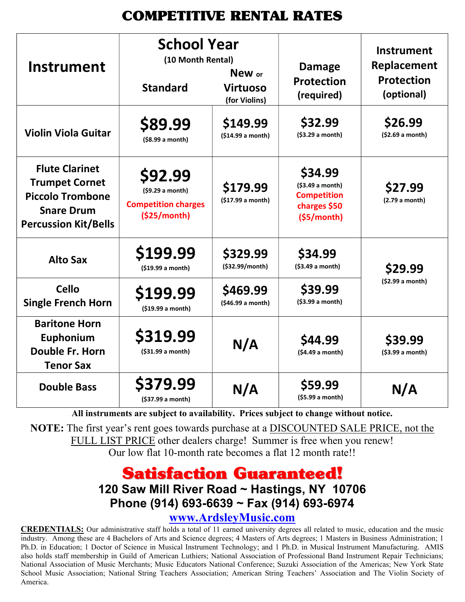## COMPETITIVE RENTAL RATES

| <b>Instrument</b>                                                                                                             | <b>School Year</b><br>(10 Month Rental)<br><b>Standard</b>               | New or<br><b>Virtuoso</b><br>(for Violins) | <b>Damage</b><br><b>Protection</b><br>(required)                                | <b>Instrument</b><br>Replacement<br><b>Protection</b><br>(optional) |
|-------------------------------------------------------------------------------------------------------------------------------|--------------------------------------------------------------------------|--------------------------------------------|---------------------------------------------------------------------------------|---------------------------------------------------------------------|
| <b>Violin Viola Guitar</b>                                                                                                    | \$89.99<br>(\$8.99 a month)                                              | \$149.99<br>(\$14.99 a month)              | \$32.99<br>(\$3.29 a month)                                                     | \$26.99<br>(\$2.69 a month)                                         |
| <b>Flute Clarinet</b><br><b>Trumpet Cornet</b><br><b>Piccolo Trombone</b><br><b>Snare Drum</b><br><b>Percussion Kit/Bells</b> | \$92.99<br>(59.29 a month)<br><b>Competition charges</b><br>(\$25/month) | \$179.99<br>(\$17.99 a month)              | \$34.99<br>(\$3.49 a month)<br><b>Competition</b><br>charges \$50<br>(55/month) | \$27.99<br>(2.79 a month)                                           |
| <b>Alto Sax</b>                                                                                                               | \$199.99<br>(\$19.99 a month)                                            | \$329.99<br>(\$32.99/month)                | \$34.99<br>(\$3.49 a month)                                                     | \$29.99                                                             |
| <b>Cello</b><br><b>Single French Horn</b>                                                                                     | \$199.99<br>(\$19.99 a month)                                            | \$469.99<br>(\$46.99 a month)              | \$39.99<br>(\$3.99 a month)                                                     | (\$2.99 a month)                                                    |
| <b>Baritone Horn</b><br>Euphonium<br>Double Fr. Horn<br><b>Tenor Sax</b>                                                      | \$319.99<br>(\$31.99 a month)                                            | N/A                                        | \$44.99<br>(\$4.49 a month)                                                     | \$39.99<br>(\$3.99 a month)                                         |
| <b>Double Bass</b>                                                                                                            | \$379.99<br>(\$37.99 a month)                                            | N/A                                        | \$59.99<br>(\$5.99 a month)                                                     | N/A                                                                 |

All instruments are subject to availability. Prices subject to change without notice.

NOTE: The first year's rent goes towards purchase at a DISCOUNTED SALE PRICE, not the FULL LIST PRICE other dealers charge! Summer is free when you renew! Our low flat 10-month rate becomes a flat 12 month rate!!

## Satisfaction Guaranteed!

### 120 Saw Mill River Road ~ Hastings, NY 10706 Phone (914) 693-6639 ~ Fax (914) 693-6974

www.ArdsleyMusic.com

CREDENTIALS: Our administrative staff holds a total of 11 earned university degrees all related to music, education and the music industry. Among these are 4 Bachelors of Arts and Science degrees; 4 Masters of Arts degrees; 1 Masters in Business Administration; 1 Ph.D. in Education; 1 Doctor of Science in Musical Instrument Technology; and 1 Ph.D. in Musical Instrument Manufacturing. AMIS also holds staff membership in Guild of American Luthiers; National Association of Professional Band Instrument Repair Technicians; National Association of Music Merchants; Music Educators National Conference; Suzuki Association of the Americas; New York State School Music Association; National String Teachers Association; American String Teachers' Association and The Violin Society of America.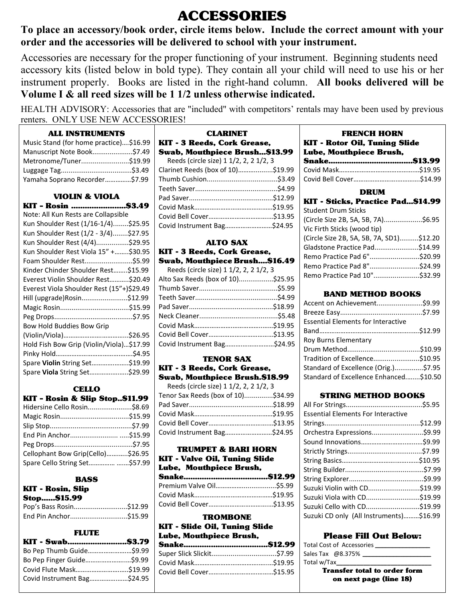## ACCESSORIES

To place an accessory/book order, circle items below. Include the correct amount with your order and the accessories will be delivered to school with your instrument.

Accessories are necessary for the proper functioning of your instrument. Beginning students need accessory kits (listed below in bold type). They contain all your child will need to use his or her instrument properly. Books are listed in the right-hand column. All books delivered will be Volume I & all reed sizes will be 1 1/2 unless otherwise indicated.

HEALTH ADVISORY: Accessories that are "included" with competitors' rentals may have been used by previous renters. ONLY USE NEW ACCESSORIES!

#### ALL INSTRUMENTS

| Music Stand (for home practice)\$16.99 |  |
|----------------------------------------|--|
| Manuscript Note Book\$7.49             |  |
| Metronome/Tuner\$19.99                 |  |
|                                        |  |
| Yamaha Soprano Recorder\$7.99          |  |

#### VIOLIN & VIOLA

| KIT - Rosin \$3.49                        |  |
|-------------------------------------------|--|
| Note: All Kun Rests are Collapsible       |  |
| Kun Shoulder Rest (1/16-1/4)\$25.95       |  |
| Kun Shoulder Rest (1/2 - 3/4)\$27.95      |  |
| Kun Shoulder Rest (4/4)\$29.95            |  |
| Kun Shoulder Rest Viola 15" +\$30.95      |  |
| Foam Shoulder Rest\$5.99                  |  |
| Kinder Chinder Shoulder Rest\$15.99       |  |
| Everest Violin Shoulder Rest\$20.49       |  |
| Everest Viola Shoulder Rest (15"+)\$29.49 |  |
| Hill (upgrade)Rosin\$12.99                |  |
|                                           |  |
|                                           |  |
| Bow Hold Buddies Bow Grip                 |  |
|                                           |  |
| Hold Fish Bow Grip (Violin/Viola)\$17.99  |  |
|                                           |  |
| Spare Violin String Set\$19.99            |  |
| Spare Viola String Set\$29.99             |  |

#### **CELLO**

#### KIT – Rosin & Slip Stop..\$11.99

| Hidersine Cello Rosin\$8.69       |  |
|-----------------------------------|--|
|                                   |  |
|                                   |  |
| End Pin Anchor\$15.99             |  |
|                                   |  |
| Cellophant Bow Grip(Cello)\$26.95 |  |
| Spare Cello String Set \$57.99    |  |

#### BASS

| <b>KIT - Rosin, Slip</b> |  |
|--------------------------|--|
| <b>Stop \$15.99</b>      |  |
| Pop's Bass Rosin\$12.99  |  |
| End Pin Anchor\$15.99    |  |

#### **FLUTE**

| Bo Pep Thumb Guide\$9.99    |  |
|-----------------------------|--|
| Bo Pep Finger Guide\$9.99   |  |
|                             |  |
| Covid Instrument Bag\$24.95 |  |

#### CLARINET

| KIT - 3 Reeds, Cork Grease,            |  |
|----------------------------------------|--|
| Swab, Mouthpiece Brush\$13.99          |  |
| Reeds (circle size) 1 1/2, 2, 2 1/2, 3 |  |
| Clarinet Reeds (box of 10)\$19.99      |  |
|                                        |  |
|                                        |  |
|                                        |  |
|                                        |  |
|                                        |  |
| Covid Instrument Bag\$24.95            |  |

#### ALTO SAX KIT - 3 Reeds, Cork Grease, Swab, Mouthpiece Brush….\$16.49

| Reeds (circle size) 1 1/2, 2, 2 1/2, 3 |
|----------------------------------------|
| Alto Sax Reeds (box of 10)\$25.95      |
|                                        |
|                                        |
|                                        |
|                                        |
|                                        |
|                                        |
| Covid Instrument Bag\$24.95            |
|                                        |

#### TENOR SAX

#### KIT - 3 Reeds, Cork Grease, Swab, Mouthpiece Brush.\$18.99

| Reeds (circle size) 1 1/2, 2, 2 1/2, 3 |  |
|----------------------------------------|--|
| Tenor Sax Reeds (box of 10)\$34.99     |  |
|                                        |  |
|                                        |  |
|                                        |  |
| Covid Instrument Bag\$24.95            |  |

#### TRUMPET & BARI HORN KIT - Valve Oil, Tuning Slide Lube, Mouthpiece Brush,

| виос, моишріссе втизн, |  |
|------------------------|--|
|                        |  |
|                        |  |
|                        |  |
|                        |  |

#### TROMBONE

#### KIT - Slide Oil, Tuning Slide Lube, Mouthpiece Brush,

#### FRENCH HORN KIT - Rotor Oil, Tuning Slide

#### DRUM

| KIT - Sticks, Practice Pad\$14.99        |  |
|------------------------------------------|--|
| <b>Student Drum Sticks</b>               |  |
| (Circle Size 2B, 5A, 5B, 7A)\$6.95       |  |
| Vic Firth Sticks (wood tip)              |  |
| (Circle Size 2B, 5A, 5B, 7A, SD1)\$12.20 |  |
| Gladstone Practice Pad\$14.99            |  |
| Remo Practice Pad 6"\$20.99              |  |
| Remo Practice Pad 8"\$24.99              |  |
| Remo Practice Pad 10"\$32.99             |  |

#### BAND METHOD BOOKS

| 49.99. Accent on Achievement\$9.99        |  |
|-------------------------------------------|--|
|                                           |  |
| <b>Essential Elements for Interactive</b> |  |
|                                           |  |
| Roy Burns Elementary                      |  |
|                                           |  |
| Tradition of Excellence\$10.95            |  |
| Standard of Excellence (Orig.)\$7.95      |  |
| Standard of Excellence Enhanced\$10.50    |  |
|                                           |  |

#### STRING METHOD BOOKS

| <b>Essential Elements For Interactive</b> |  |
|-------------------------------------------|--|
|                                           |  |
| Orchestra Expressions\$9.99               |  |
|                                           |  |
|                                           |  |
|                                           |  |
|                                           |  |
|                                           |  |
| Suzuki Violin with CD\$19.99              |  |
| Suzuki Viola with CD\$19.99               |  |
| Suzuki Cello with CD\$19.99               |  |
| Suzuki CD only (All Instruments)\$16.99   |  |

#### Please Fill Out Below:

| Total Cost of Accessories |  |  |  |  |
|---------------------------|--|--|--|--|
| Sales Tax @8.375%         |  |  |  |  |
| Total w/Tax               |  |  |  |  |

Transfer total to order form on next page (line 18)